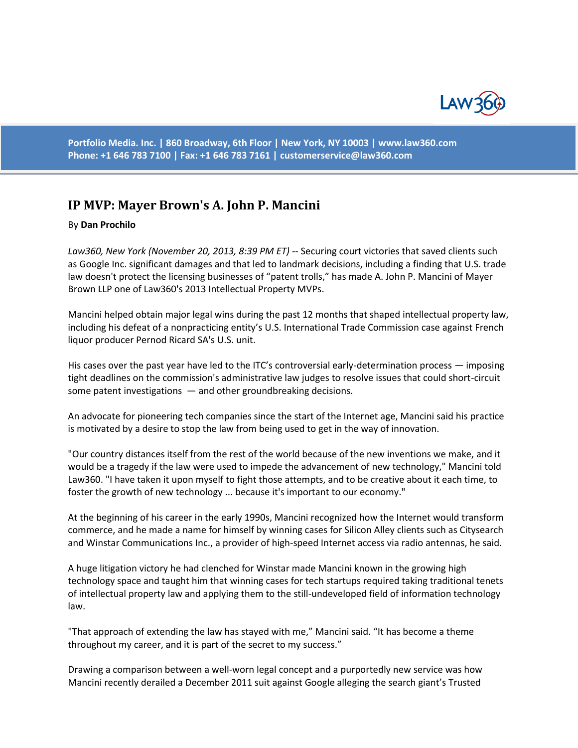

**Portfolio Media. Inc. | 860 Broadway, 6th Floor | New York, NY 10003 | www.law360.com Phone: +1 646 783 7100 | Fax: +1 646 783 7161 | [customerservice@law360.com](mailto:customerservice@law360.com)**

## **IP MVP: Mayer Brown's A. John P. Mancini**

## By **Dan Prochilo**

*Law360, New York (November 20, 2013, 8:39 PM ET)* -- Securing court victories that saved clients such as Google Inc. significant damages and that led to landmark decisions, including a finding that U.S. trade law doesn't protect the licensing businesses of "patent trolls," has made A. John P. Mancini of Mayer Brown LLP one of Law360's 2013 Intellectual Property MVPs.

Mancini helped obtain major legal wins during the past 12 months that shaped intellectual property law, including his defeat of a nonpracticing entity's U.S. International Trade Commission case against French liquor producer Pernod Ricard SA's U.S. unit.

His cases over the past year have led to the ITC's controversial early-determination process — imposing tight deadlines on the commission's administrative law judges to resolve issues that could short-circuit some patent investigations  $-$  and other groundbreaking decisions.

An advocate for pioneering tech companies since the start of the Internet age, Mancini said his practice is motivated by a desire to stop the law from being used to get in the way of innovation.

"Our country distances itself from the rest of the world because of the new inventions we make, and it would be a tragedy if the law were used to impede the advancement of new technology," Mancini told Law360. "I have taken it upon myself to fight those attempts, and to be creative about it each time, to foster the growth of new technology ... because it's important to our economy."

At the beginning of his career in the early 1990s, Mancini recognized how the Internet would transform commerce, and he made a name for himself by winning cases for Silicon Alley clients such as Citysearch and Winstar Communications Inc., a provider of high-speed Internet access via radio antennas, he said.

A huge litigation victory he had clenched for Winstar made Mancini known in the growing high technology space and taught him that winning cases for tech startups required taking traditional tenets of intellectual property law and applying them to the still-undeveloped field of information technology law.

"That approach of extending the law has stayed with me," Mancini said. "It has become a theme throughout my career, and it is part of the secret to my success."

Drawing a comparison between a well-worn legal concept and a purportedly new service was how Mancini recently derailed a December 2011 suit against Google alleging the search giant's Trusted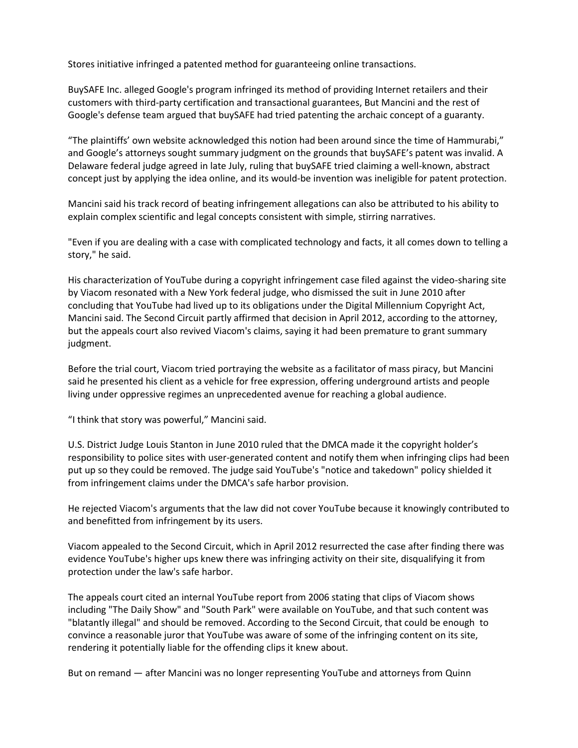Stores initiative infringed a patented method for guaranteeing online transactions.

BuySAFE Inc. alleged Google's program infringed its method of providing Internet retailers and their customers with third-party certification and transactional guarantees, But Mancini and the rest of Google's defense team argued that buySAFE had tried patenting the archaic concept of a guaranty.

"The plaintiffs' own website acknowledged this notion had been around since the time of Hammurabi," and Google's attorneys sought summary judgment on the grounds that buySAFE's patent was invalid. A Delaware federal judge agreed in late July, ruling that buySAFE tried claiming a well-known, abstract concept just by applying the idea online, and its would-be invention was ineligible for patent protection.

Mancini said his track record of beating infringement allegations can also be attributed to his ability to explain complex scientific and legal concepts consistent with simple, stirring narratives.

"Even if you are dealing with a case with complicated technology and facts, it all comes down to telling a story," he said.

His characterization of YouTube during a copyright infringement case filed against the video-sharing site by Viacom resonated with a New York federal judge, who dismissed the suit in June 2010 after concluding that YouTube had lived up to its obligations under the Digital Millennium Copyright Act, Mancini said. The Second Circuit partly affirmed that decision in April 2012, according to the attorney, but the appeals court also revived Viacom's claims, saying it had been premature to grant summary judgment.

Before the trial court, Viacom tried portraying the website as a facilitator of mass piracy, but Mancini said he presented his client as a vehicle for free expression, offering underground artists and people living under oppressive regimes an unprecedented avenue for reaching a global audience.

"I think that story was powerful," Mancini said.

U.S. District Judge Louis Stanton in June 2010 ruled that the DMCA made it the copyright holder's responsibility to police sites with user-generated content and notify them when infringing clips had been put up so they could be removed. The judge said YouTube's "notice and takedown" policy shielded it from infringement claims under the DMCA's safe harbor provision.

He rejected Viacom's arguments that the law did not cover YouTube because it knowingly contributed to and benefitted from infringement by its users.

Viacom appealed to the Second Circuit, which in April 2012 resurrected the case after finding there was evidence YouTube's higher ups knew there was infringing activity on their site, disqualifying it from protection under the law's safe harbor.

The appeals court cited an internal YouTube report from 2006 stating that clips of Viacom shows including "The Daily Show" and "South Park" were available on YouTube, and that such content was "blatantly illegal" and should be removed. According to the Second Circuit, that could be enough to convince a reasonable juror that YouTube was aware of some of the infringing content on its site, rendering it potentially liable for the offending clips it knew about.

But on remand — after Mancini was no longer representing YouTube and attorneys from Quinn